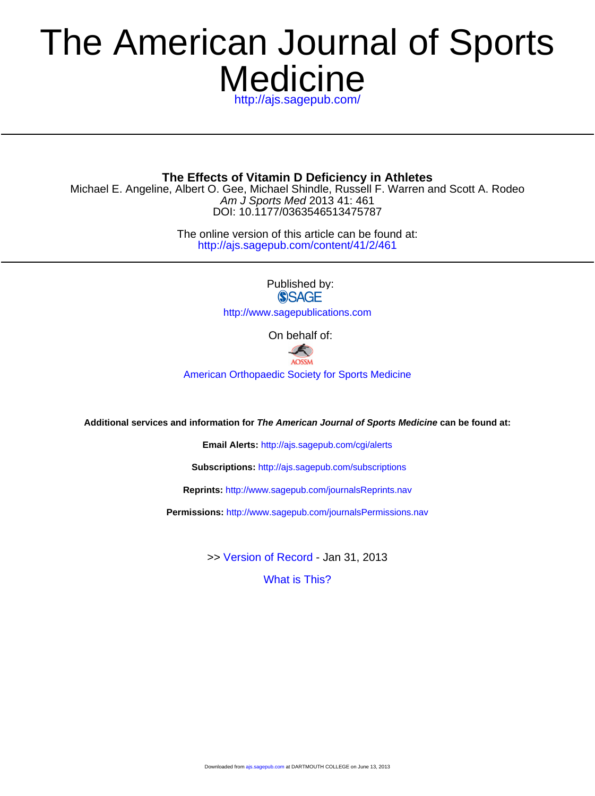# **Medicine** The American Journal of Sports

<http://ajs.sagepub.com/>

DOI: 10.1177/0363546513475787 Am J Sports Med 2013 41: 461 Michael E. Angeline, Albert O. Gee, Michael Shindle, Russell F. Warren and Scott A. Rodeo **The Effects of Vitamin D Deficiency in Athletes**

> <http://ajs.sagepub.com/content/41/2/461> The online version of this article can be found at:

> > Published by:<br>
> > SAGE

<http://www.sagepublications.com>

On behalf of:



[American Orthopaedic Society for Sports Medicine](http://www.aossm.org)

**Additional services and information for The American Journal of Sports Medicine can be found at:**

**Email Alerts:** <http://ajs.sagepub.com/cgi/alerts>

**Subscriptions:** <http://ajs.sagepub.com/subscriptions>

**Reprints:** <http://www.sagepub.com/journalsReprints.nav>

**Permissions:** <http://www.sagepub.com/journalsPermissions.nav>

>> [Version of Record -](http://ajs.sagepub.com/content/41/2/461.full.pdf) Jan 31, 2013

[What is This?](http://online.sagepub.com/site/sphelp/vorhelp.xhtml)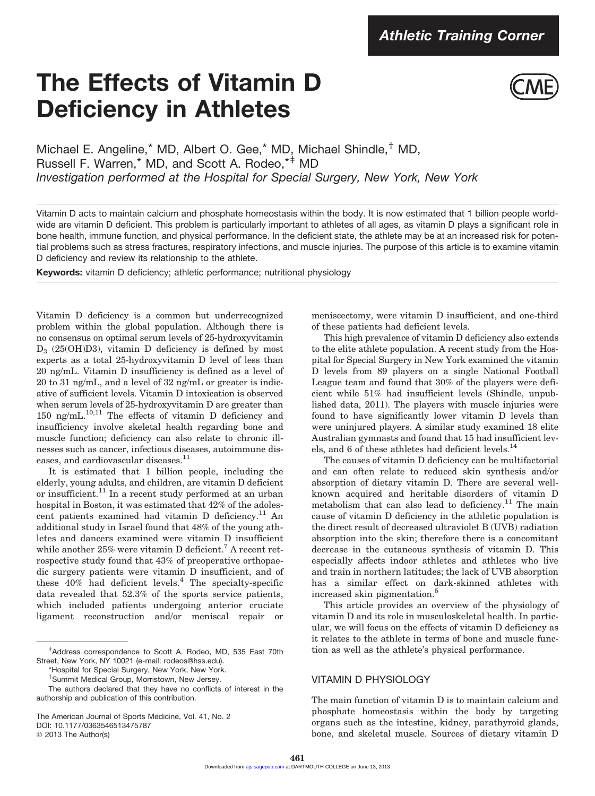# The Effects of Vitamin D Deficiency in Athletes



Michael E. Angeline, $*$  MD, Albert O. Gee, $*$  MD, Michael Shindle, $*$  MD, Russell F. Warren,\* MD, and Scott A. Rodeo,\*<sup>‡</sup> MD *Investigation performed at the Hospital for Special Surgery, New York, New York*

Vitamin D acts to maintain calcium and phosphate homeostasis within the body. It is now estimated that 1 billion people worldwide are vitamin D deficient. This problem is particularly important to athletes of all ages, as vitamin D plays a significant role in bone health, immune function, and physical performance. In the deficient state, the athlete may be at an increased risk for potential problems such as stress fractures, respiratory infections, and muscle injuries. The purpose of this article is to examine vitamin D deficiency and review its relationship to the athlete.

Keywords: vitamin D deficiency; athletic performance; nutritional physiology

Vitamin D deficiency is a common but underrecognized problem within the global population. Although there is no consensus on optimal serum levels of 25-hydroxyvitamin  $D_3$  (25(OH)D3), vitamin D deficiency is defined by most experts as a total 25-hydroxyvitamin D level of less than 20 ng/mL. Vitamin D insufficiency is defined as a level of 20 to 31 ng/mL, and a level of 32 ng/mL or greater is indicative of sufficient levels. Vitamin D intoxication is observed when serum levels of 25-hydroxyvitamin D are greater than 150 ng/mL.10,11 The effects of vitamin D deficiency and insufficiency involve skeletal health regarding bone and muscle function; deficiency can also relate to chronic illnesses such as cancer, infectious diseases, autoimmune diseases, and cardiovascular diseases.  $^{\rm 11}$ 

It is estimated that 1 billion people, including the elderly, young adults, and children, are vitamin D deficient or insufficient.<sup>11</sup> In a recent study performed at an urban hospital in Boston, it was estimated that 42% of the adolescent patients examined had vitamin D deficiency.<sup>11</sup> An additional study in Israel found that 48% of the young athletes and dancers examined were vitamin D insufficient while another  $25\%$  were vitamin D deficient.<sup>7</sup> A recent retrospective study found that 43% of preoperative orthopaedic surgery patients were vitamin D insufficient, and of these  $40\%$  had deficient levels.<sup>4</sup> The specialty-specific data revealed that 52.3% of the sports service patients, which included patients undergoing anterior cruciate ligament reconstruction and/or meniscal repair or

© 2013 The Author(s)

meniscectomy, were vitamin D insufficient, and one-third of these patients had deficient levels.

This high prevalence of vitamin D deficiency also extends to the elite athlete population. A recent study from the Hospital for Special Surgery in New York examined the vitamin D levels from 89 players on a single National Football League team and found that 30% of the players were deficient while 51% had insufficient levels (Shindle, unpublished data, 2011). The players with muscle injuries were found to have significantly lower vitamin D levels than were uninjured players. A similar study examined 18 elite Australian gymnasts and found that 15 had insufficient levels, and 6 of these athletes had deficient levels.<sup>14</sup>

The causes of vitamin D deficiency can be multifactorial and can often relate to reduced skin synthesis and/or absorption of dietary vitamin D. There are several wellknown acquired and heritable disorders of vitamin D metabolism that can also lead to deficiency.<sup>11</sup> The main cause of vitamin D deficiency in the athletic population is the direct result of decreased ultraviolet B (UVB) radiation absorption into the skin; therefore there is a concomitant decrease in the cutaneous synthesis of vitamin D. This especially affects indoor athletes and athletes who live and train in northern latitudes; the lack of UVB absorption has a similar effect on dark-skinned athletes with increased skin pigmentation.<sup>5</sup>

This article provides an overview of the physiology of vitamin D and its role in musculoskeletal health. In particular, we will focus on the effects of vitamin D deficiency as it relates to the athlete in terms of bone and muscle function as well as the athlete's physical performance.

## VITAMIN D PHYSIOLOGY

The main function of vitamin D is to maintain calcium and phosphate homeostasis within the body by targeting organs such as the intestine, kidney, parathyroid glands, bone, and skeletal muscle. Sources of dietary vitamin D

z Address correspondence to Scott A. Rodeo, MD, 535 East 70th Street, New York, NY 10021 (e-mail: rodeos@hss.edu).

<sup>\*</sup>Hospital for Special Surgery, New York, New York.

<sup>&</sup>lt;sup>†</sup>Summit Medical Group, Morristown, New Jersey.

The authors declared that they have no conflicts of interest in the authorship and publication of this contribution.

The American Journal of Sports Medicine, Vol. 41, No. 2 DOI: 10.1177/0363546513475787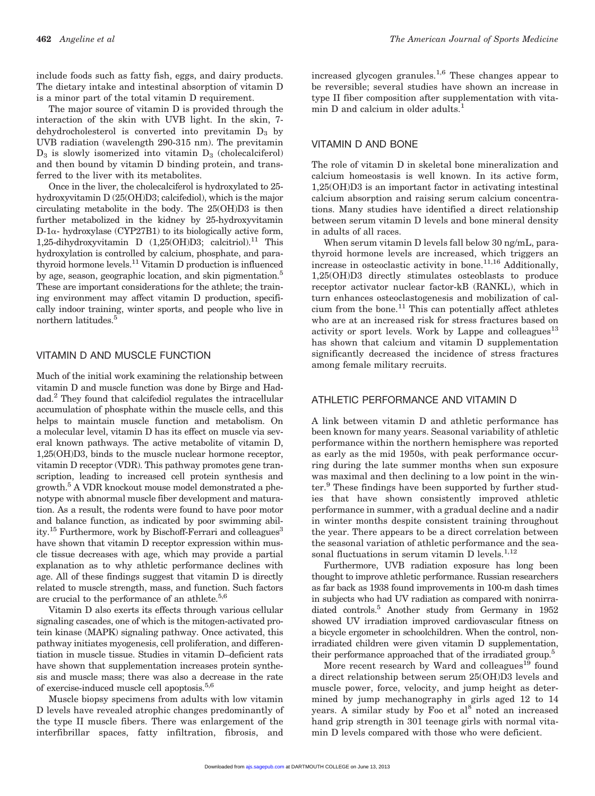include foods such as fatty fish, eggs, and dairy products. The dietary intake and intestinal absorption of vitamin D is a minor part of the total vitamin D requirement.

The major source of vitamin D is provided through the interaction of the skin with UVB light. In the skin, 7 dehydrocholesterol is converted into previtamin  $D_3$  by UVB radiation (wavelength 290-315 nm). The previtamin  $D_3$  is slowly isomerized into vitamin  $D_3$  (cholecalciferol) and then bound by vitamin D binding protein, and transferred to the liver with its metabolites.

Once in the liver, the cholecalciferol is hydroxylated to 25 hydroxyvitamin D (25(OH)D3; calcifediol), which is the major circulating metabolite in the body. The 25(OH)D3 is then further metabolized in the kidney by 25-hydroxyvitamin  $D$ -1 $\alpha$ - hydroxylase (CYP27B1) to its biologically active form, 1,25-dihydroxyvitamin D (1,25(OH)D3; calcitriol).<sup>11</sup> This hydroxylation is controlled by calcium, phosphate, and parathyroid hormone levels.11 Vitamin D production is influenced by age, season, geographic location, and skin pigmentation.<sup>5</sup> These are important considerations for the athlete; the training environment may affect vitamin D production, specifically indoor training, winter sports, and people who live in northern latitudes.<sup>5</sup>

#### VITAMIN D AND MUSCLE FUNCTION

Much of the initial work examining the relationship between vitamin D and muscle function was done by Birge and Haddad.2 They found that calcifediol regulates the intracellular accumulation of phosphate within the muscle cells, and this helps to maintain muscle function and metabolism. On a molecular level, vitamin D has its effect on muscle via several known pathways. The active metabolite of vitamin D, 1,25(OH)D3, binds to the muscle nuclear hormone receptor, vitamin D receptor (VDR). This pathway promotes gene transcription, leading to increased cell protein synthesis and growth.<sup>5</sup> A VDR knockout mouse model demonstrated a phenotype with abnormal muscle fiber development and maturation. As a result, the rodents were found to have poor motor and balance function, as indicated by poor swimming ability.<sup>15</sup> Furthermore, work by Bischoff-Ferrari and colleagues<sup>3</sup> have shown that vitamin D receptor expression within muscle tissue decreases with age, which may provide a partial explanation as to why athletic performance declines with age. All of these findings suggest that vitamin D is directly related to muscle strength, mass, and function. Such factors are crucial to the performance of an athlete.<sup>5,6</sup>

Vitamin D also exerts its effects through various cellular signaling cascades, one of which is the mitogen-activated protein kinase (MAPK) signaling pathway. Once activated, this pathway initiates myogenesis, cell proliferation, and differentiation in muscle tissue. Studies in vitamin D–deficient rats have shown that supplementation increases protein synthesis and muscle mass; there was also a decrease in the rate of exercise-induced muscle cell apoptosis.5,6

Muscle biopsy specimens from adults with low vitamin D levels have revealed atrophic changes predominantly of the type II muscle fibers. There was enlargement of the interfibrillar spaces, fatty infiltration, fibrosis, and

increased glycogen granules.<sup>1,6</sup> These changes appear to be reversible; several studies have shown an increase in type II fiber composition after supplementation with vitamin D and calcium in older adults.<sup>1</sup>

#### VITAMIN D AND BONE

The role of vitamin D in skeletal bone mineralization and calcium homeostasis is well known. In its active form, 1,25(OH)D3 is an important factor in activating intestinal calcium absorption and raising serum calcium concentrations. Many studies have identified a direct relationship between serum vitamin D levels and bone mineral density in adults of all races.

When serum vitamin D levels fall below 30 ng/mL, parathyroid hormone levels are increased, which triggers an increase in osteoclastic activity in bone. $11,16$  Additionally, 1,25(OH)D3 directly stimulates osteoblasts to produce receptor activator nuclear factor-kB (RANKL), which in turn enhances osteoclastogenesis and mobilization of calcium from the bone.<sup>11</sup> This can potentially affect athletes who are at an increased risk for stress fractures based on activity or sport levels. Work by Lappe and colleagues<sup>13</sup> has shown that calcium and vitamin D supplementation significantly decreased the incidence of stress fractures among female military recruits.

## ATHLETIC PERFORMANCE AND VITAMIN D

A link between vitamin D and athletic performance has been known for many years. Seasonal variability of athletic performance within the northern hemisphere was reported as early as the mid 1950s, with peak performance occurring during the late summer months when sun exposure was maximal and then declining to a low point in the winter.<sup>9</sup> These findings have been supported by further studies that have shown consistently improved athletic performance in summer, with a gradual decline and a nadir in winter months despite consistent training throughout the year. There appears to be a direct correlation between the seasonal variation of athletic performance and the seasonal fluctuations in serum vitamin D levels. $^{1,12}$ 

Furthermore, UVB radiation exposure has long been thought to improve athletic performance. Russian researchers as far back as 1938 found improvements in 100-m dash times in subjects who had UV radiation as compared with nonirradiated controls.5 Another study from Germany in 1952 showed UV irradiation improved cardiovascular fitness on a bicycle ergometer in schoolchildren. When the control, nonirradiated children were given vitamin D supplementation, their performance approached that of the irradiated group.<sup>5</sup>

More recent research by Ward and colleagues<sup>19</sup> found a direct relationship between serum 25(OH)D3 levels and muscle power, force, velocity, and jump height as determined by jump mechanography in girls aged 12 to 14 years. A similar study by Foo et  $al<sup>8</sup>$  noted an increased hand grip strength in 301 teenage girls with normal vitamin D levels compared with those who were deficient.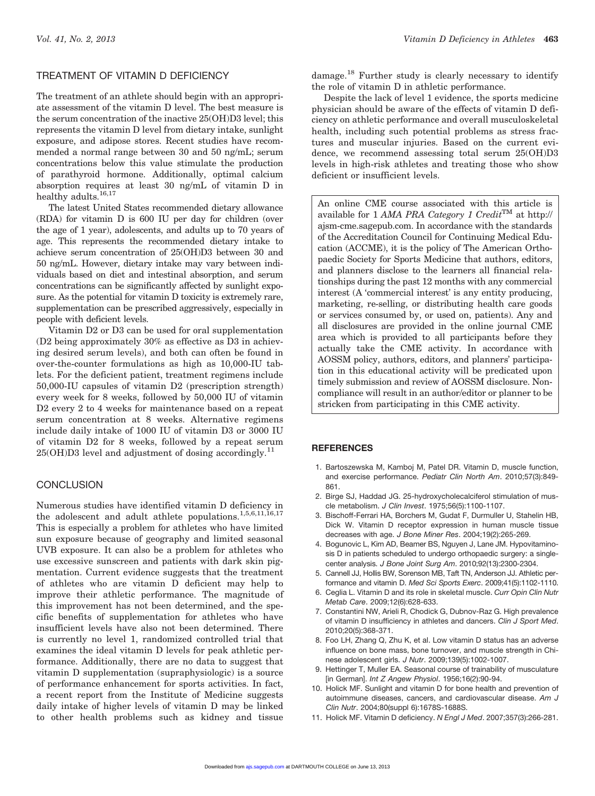# TREATMENT OF VITAMIN D DEFICIENCY

The treatment of an athlete should begin with an appropriate assessment of the vitamin D level. The best measure is the serum concentration of the inactive 25(OH)D3 level; this represents the vitamin D level from dietary intake, sunlight exposure, and adipose stores. Recent studies have recommended a normal range between 30 and 50 ng/mL; serum concentrations below this value stimulate the production of parathyroid hormone. Additionally, optimal calcium absorption requires at least 30 ng/mL of vitamin D in healthy adults.<sup>16,17</sup>

The latest United States recommended dietary allowance (RDA) for vitamin D is 600 IU per day for children (over the age of 1 year), adolescents, and adults up to 70 years of age. This represents the recommended dietary intake to achieve serum concentration of 25(OH)D3 between 30 and 50 ng/mL. However, dietary intake may vary between individuals based on diet and intestinal absorption, and serum concentrations can be significantly affected by sunlight exposure. As the potential for vitamin D toxicity is extremely rare, supplementation can be prescribed aggressively, especially in people with deficient levels.

Vitamin D2 or D3 can be used for oral supplementation (D2 being approximately 30% as effective as D3 in achieving desired serum levels), and both can often be found in over-the-counter formulations as high as 10,000-IU tablets. For the deficient patient, treatment regimens include 50,000-IU capsules of vitamin D2 (prescription strength) every week for 8 weeks, followed by 50,000 IU of vitamin D2 every 2 to 4 weeks for maintenance based on a repeat serum concentration at 8 weeks. Alternative regimens include daily intake of 1000 IU of vitamin D3 or 3000 IU of vitamin D2 for 8 weeks, followed by a repeat serum  $25(OH)D3$  level and adjustment of dosing accordingly.<sup>11</sup>

#### **CONCLUSION**

Numerous studies have identified vitamin D deficiency in the adolescent and adult athlete populations.<sup>1,5,6,11,16,17</sup> This is especially a problem for athletes who have limited sun exposure because of geography and limited seasonal UVB exposure. It can also be a problem for athletes who use excessive sunscreen and patients with dark skin pigmentation. Current evidence suggests that the treatment of athletes who are vitamin D deficient may help to improve their athletic performance. The magnitude of this improvement has not been determined, and the specific benefits of supplementation for athletes who have insufficient levels have also not been determined. There is currently no level 1, randomized controlled trial that examines the ideal vitamin D levels for peak athletic performance. Additionally, there are no data to suggest that vitamin D supplementation (supraphysiologic) is a source of performance enhancement for sports activities. In fact, a recent report from the Institute of Medicine suggests daily intake of higher levels of vitamin D may be linked to other health problems such as kidney and tissue damage.18 Further study is clearly necessary to identify the role of vitamin D in athletic performance.

Despite the lack of level 1 evidence, the sports medicine physician should be aware of the effects of vitamin D deficiency on athletic performance and overall musculoskeletal health, including such potential problems as stress fractures and muscular injuries. Based on the current evidence, we recommend assessing total serum 25(OH)D3 levels in high-risk athletes and treating those who show deficient or insufficient levels.

An online CME course associated with this article is available for 1 AMA PRA Category 1 Credit<sup>TM</sup> at http:// ajsm-cme.sagepub.com. In accordance with the standards of the Accreditation Council for Continuing Medical Education (ACCME), it is the policy of The American Orthopaedic Society for Sports Medicine that authors, editors, and planners disclose to the learners all financial relationships during the past 12 months with any commercial interest (A 'commercial interest' is any entity producing, marketing, re-selling, or distributing health care goods or services consumed by, or used on, patients). Any and all disclosures are provided in the online journal CME area which is provided to all participants before they actually take the CME activity. In accordance with AOSSM policy, authors, editors, and planners' participation in this educational activity will be predicated upon timely submission and review of AOSSM disclosure. Noncompliance will result in an author/editor or planner to be stricken from participating in this CME activity.

#### **REFERENCES**

- 1. Bartoszewska M, Kamboj M, Patel DR. Vitamin D, muscle function, and exercise performance. *Pediatr Clin North Am*. 2010;57(3):849- 861.
- 2. Birge SJ, Haddad JG. 25-hydroxycholecalciferol stimulation of muscle metabolism. *J Clin Invest*. 1975;56(5):1100-1107.
- 3. Bischoff-Ferrari HA, Borchers M, Gudat F, Durmuller U, Stahelin HB, Dick W. Vitamin D receptor expression in human muscle tissue decreases with age. *J Bone Miner Res*. 2004;19(2):265-269.
- 4. Bogunovic L, Kim AD, Beamer BS, Nguyen J, Lane JM. Hypovitaminosis D in patients scheduled to undergo orthopaedic surgery: a singlecenter analysis. *J Bone Joint Surg Am*. 2010;92(13):2300-2304.
- 5. Cannell JJ, Hollis BW, Sorenson MB, Taft TN, Anderson JJ. Athletic performance and vitamin D. *Med Sci Sports Exerc*. 2009;41(5):1102-1110.
- 6. Ceglia L. Vitamin D and its role in skeletal muscle. *Curr Opin Clin Nutr Metab Care*. 2009;12(6):628-633.
- 7. Constantini NW, Arieli R, Chodick G, Dubnov-Raz G. High prevalence of vitamin D insufficiency in athletes and dancers. *Clin J Sport Med*. 2010;20(5):368-371.
- 8. Foo LH, Zhang Q, Zhu K, et al. Low vitamin D status has an adverse influence on bone mass, bone turnover, and muscle strength in Chinese adolescent girls. *J Nutr*. 2009;139(5):1002-1007.
- 9. Hettinger T, Muller EA. Seasonal course of trainability of musculature [in German]. *Int Z Angew Physiol*. 1956;16(2):90-94.
- 10. Holick MF. Sunlight and vitamin D for bone health and prevention of autoimmune diseases, cancers, and cardiovascular disease. *Am J Clin Nutr*. 2004;80(suppl 6):1678S-1688S.
- 11. Holick MF. Vitamin D deficiency. *N Engl J Med*. 2007;357(3):266-281.